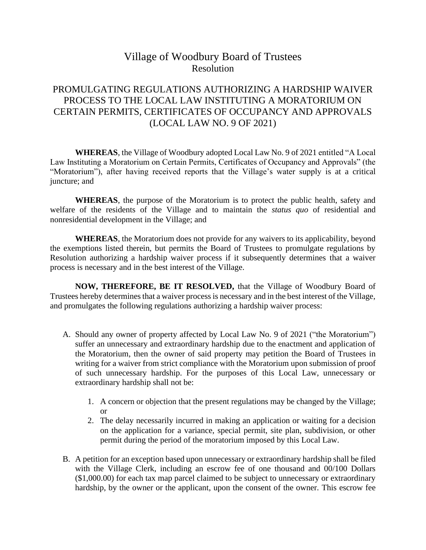## Village of Woodbury Board of Trustees Resolution

## PROMULGATING REGULATIONS AUTHORIZING A HARDSHIP WAIVER PROCESS TO THE LOCAL LAW INSTITUTING A MORATORIUM ON CERTAIN PERMITS, CERTIFICATES OF OCCUPANCY AND APPROVALS (LOCAL LAW NO. 9 OF 2021)

**WHEREAS**, the Village of Woodbury adopted Local Law No. 9 of 2021 entitled "A Local Law Instituting a Moratorium on Certain Permits, Certificates of Occupancy and Approvals" (the "Moratorium"), after having received reports that the Village's water supply is at a critical juncture; and

**WHEREAS**, the purpose of the Moratorium is to protect the public health, safety and welfare of the residents of the Village and to maintain the *status quo* of residential and nonresidential development in the Village; and

**WHEREAS**, the Moratorium does not provide for any waivers to its applicability, beyond the exemptions listed therein, but permits the Board of Trustees to promulgate regulations by Resolution authorizing a hardship waiver process if it subsequently determines that a waiver process is necessary and in the best interest of the Village.

**NOW, THEREFORE, BE IT RESOLVED,** that the Village of Woodbury Board of Trustees hereby determines that a waiver process is necessary and in the best interest of the Village, and promulgates the following regulations authorizing a hardship waiver process:

- A. Should any owner of property affected by Local Law No. 9 of 2021 ("the Moratorium") suffer an unnecessary and extraordinary hardship due to the enactment and application of the Moratorium, then the owner of said property may petition the Board of Trustees in writing for a waiver from strict compliance with the Moratorium upon submission of proof of such unnecessary hardship. For the purposes of this Local Law, unnecessary or extraordinary hardship shall not be:
	- 1. A concern or objection that the present regulations may be changed by the Village; or
	- 2. The delay necessarily incurred in making an application or waiting for a decision on the application for a variance, special permit, site plan, subdivision, or other permit during the period of the moratorium imposed by this Local Law.
- B. A petition for an exception based upon unnecessary or extraordinary hardship shall be filed with the Village Clerk, including an escrow fee of one thousand and 00/100 Dollars (\$1,000.00) for each tax map parcel claimed to be subject to unnecessary or extraordinary hardship, by the owner or the applicant, upon the consent of the owner. This escrow fee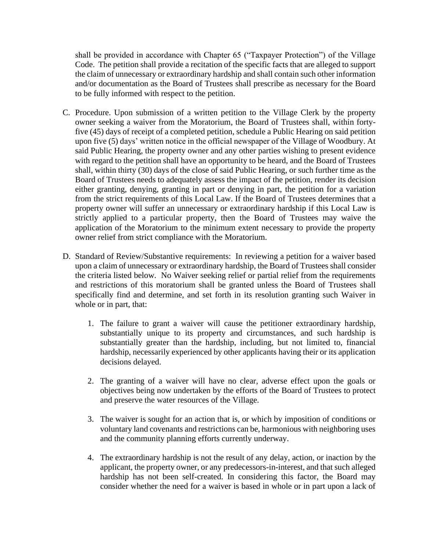shall be provided in accordance with Chapter 65 ("Taxpayer Protection") of the Village Code. The petition shall provide a recitation of the specific facts that are alleged to support the claim of unnecessary or extraordinary hardship and shall contain such other information and/or documentation as the Board of Trustees shall prescribe as necessary for the Board to be fully informed with respect to the petition.

- C. Procedure. Upon submission of a written petition to the Village Clerk by the property owner seeking a waiver from the Moratorium, the Board of Trustees shall, within fortyfive (45) days of receipt of a completed petition, schedule a Public Hearing on said petition upon five (5) days' written notice in the official newspaper of the Village of Woodbury. At said Public Hearing, the property owner and any other parties wishing to present evidence with regard to the petition shall have an opportunity to be heard, and the Board of Trustees shall, within thirty (30) days of the close of said Public Hearing, or such further time as the Board of Trustees needs to adequately assess the impact of the petition, render its decision either granting, denying, granting in part or denying in part, the petition for a variation from the strict requirements of this Local Law. If the Board of Trustees determines that a property owner will suffer an unnecessary or extraordinary hardship if this Local Law is strictly applied to a particular property, then the Board of Trustees may waive the application of the Moratorium to the minimum extent necessary to provide the property owner relief from strict compliance with the Moratorium.
- D. Standard of Review/Substantive requirements: In reviewing a petition for a waiver based upon a claim of unnecessary or extraordinary hardship, the Board of Trustees shall consider the criteria listed below. No Waiver seeking relief or partial relief from the requirements and restrictions of this moratorium shall be granted unless the Board of Trustees shall specifically find and determine, and set forth in its resolution granting such Waiver in whole or in part, that:
	- 1. The failure to grant a waiver will cause the petitioner extraordinary hardship, substantially unique to its property and circumstances, and such hardship is substantially greater than the hardship, including, but not limited to, financial hardship, necessarily experienced by other applicants having their or its application decisions delayed.
	- 2. The granting of a waiver will have no clear, adverse effect upon the goals or objectives being now undertaken by the efforts of the Board of Trustees to protect and preserve the water resources of the Village.
	- 3. The waiver is sought for an action that is, or which by imposition of conditions or voluntary land covenants and restrictions can be, harmonious with neighboring uses and the community planning efforts currently underway.
	- 4. The extraordinary hardship is not the result of any delay, action, or inaction by the applicant, the property owner, or any predecessors-in-interest, and that such alleged hardship has not been self-created. In considering this factor, the Board may consider whether the need for a waiver is based in whole or in part upon a lack of